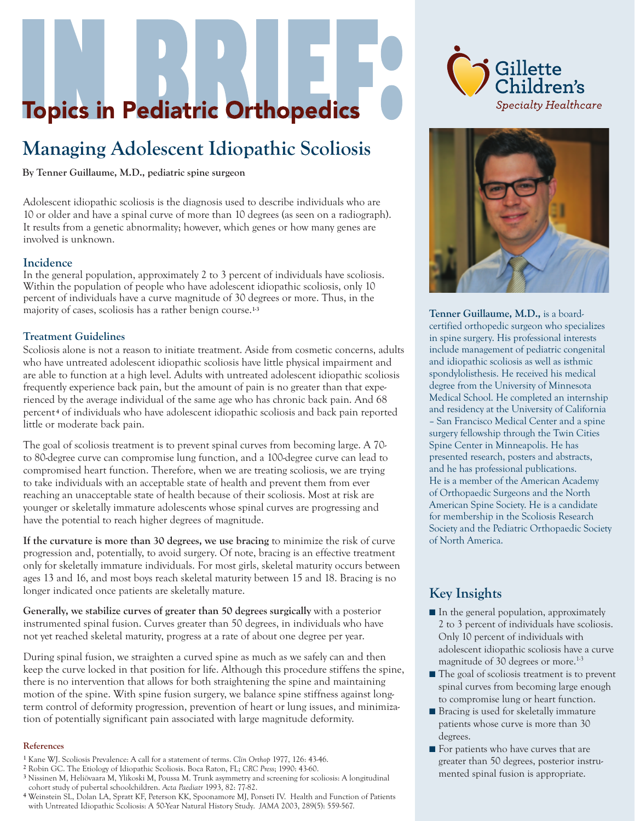# **Topics in Pediatric Orthopedics**

# **Managing Adolescent Idiopathic Scoliosis**

**By Tenner Guillaume, M.D., pediatric spine surgeon**

Adolescent idiopathic scoliosis is the diagnosis used to describe individuals who are 10 or older and have a spinal curve of more than 10 degrees (as seen on a radiograph). It results from a genetic abnormality; however, which genes or how many genes are involved is unknown.

#### **Incidence**

In the general population, approximately 2 to 3 percent of individuals have scoliosis. Within the population of people who have adolescent idiopathic scoliosis, only 10 percent of individuals have a curve magnitude of 30 degrees or more. Thus, in the majority of cases, scoliosis has a rather benign course.**1-3**

#### **Treatment Guidelines**

Scoliosis alone is not a reason to initiate treatment. Aside from cosmetic concerns, adults who have untreated adolescent idiopathic scoliosis have little physical impairment and are able to function at a high level. Adults with untreated adolescent idiopathic scoliosis frequently experience back pain, but the amount of pain is no greater than that experienced by the average individual of the same age who has chronic back pain. And 68 percent **<sup>4</sup>** of individuals who have adolescent idiopathic scoliosis and back pain reported little or moderate back pain.

The goal of scoliosis treatment is to prevent spinal curves from becoming large. A 70 to 80-degree curve can compromise lung function, and a 100-degree curve can lead to compromised heart function. Therefore, when we are treating scoliosis, we are trying to take individuals with an acceptable state of health and prevent them from ever reaching an unacceptable state of health because of their scoliosis. Most at risk are younger or skeletally immature adolescents whose spinal curves are progressing and have the potential to reach higher degrees of magnitude.

**If the curvature is more than 30 degrees, we use bracing** to minimize the risk of curve progression and, potentially, to avoid surgery. Of note, bracing is an effective treatment only for skeletally immature individuals. For most girls, skeletal maturity occurs between ages 13 and 16, and most boys reach skeletal maturity between 15 and 18. Bracing is no longer indicated once patients are skeletally mature.

**Generally, we stabilize curves of greater than 50 degrees surgically** with a posterior instrumented spinal fusion. Curves greater than 50 degrees, in individuals who have not yet reached skeletal maturity, progress at a rate of about one degree per year.

During spinal fusion, we straighten a curved spine as much as we safely can and then keep the curve locked in that position for life. Although this procedure stiffens the spine, there is no intervention that allows for both straightening the spine and maintaining motion of the spine. With spine fusion surgery, we balance spine stiffness against longterm control of deformity progression, prevention of heart or lung issues, and minimization of potentially significant pain associated with large magnitude deformity.

#### **References**

- **1** Kane WJ. Scoliosis Prevalence: A call for a statement of terms. *Clin Orthop* 1977, 126: 43-46.
- **2** Robin GC. The Etiology of Idiopathic Scoliosis. Boca Raton, FL; *CRC Press*; 1990: 43-60.
- **3** Nissinen M, Heliövaara M, Ylikoski M, Poussa M. Trunk asymmetry and screening for scoliosis: A longitudinal cohort study of pubertal schoolchildren. *Acta Paediatr* 1993, 82: 77-82.
- **4** Weinstein SL, Dolan LA, Spratt KF, Peterson KK, Spoonamore MJ, Ponseti IV. Health and Function of Patients with Untreated Idiopathic Scoliosis: A 50-Year Natural History Study. *JAMA* 2003, 289(5): 559-567.





**Tenner Guillaume, M.D.,** is a boardcertified orthopedic surgeon who specializes in spine surgery. His professional interests include management of pediatric congenital and idiopathic scoliosis as well as isthmic spondylolisthesis. He received his medical degree from the University of Minnesota Medical School. He completed an internship and residency at the University of California – San Francisco Medical Center and a spine surgery fellowship through the Twin Cities Spine Center in Minneapolis. He has presented research, posters and abstracts, and he has professional publications. He is a member of the American Academy of Orthopaedic Surgeons and the North American Spine Society. He is a candidate for membership in the Scoliosis Research Society and the Pediatric Orthopaedic Society of North America.

### **Key Insights**

- In the general population, approximately 2 to 3 percent of individuals have scoliosis. Only 10 percent of individuals with adolescent idiopathic scoliosis have a curve magnitude of 30 degrees or more.<sup>1-3</sup>
- The goal of scoliosis treatment is to prevent spinal curves from becoming large enough to compromise lung or heart function.
- Bracing is used for skeletally immature patients whose curve is more than 30 degrees.
- For patients who have curves that are greater than 50 degrees, posterior instrumented spinal fusion is appropriate.